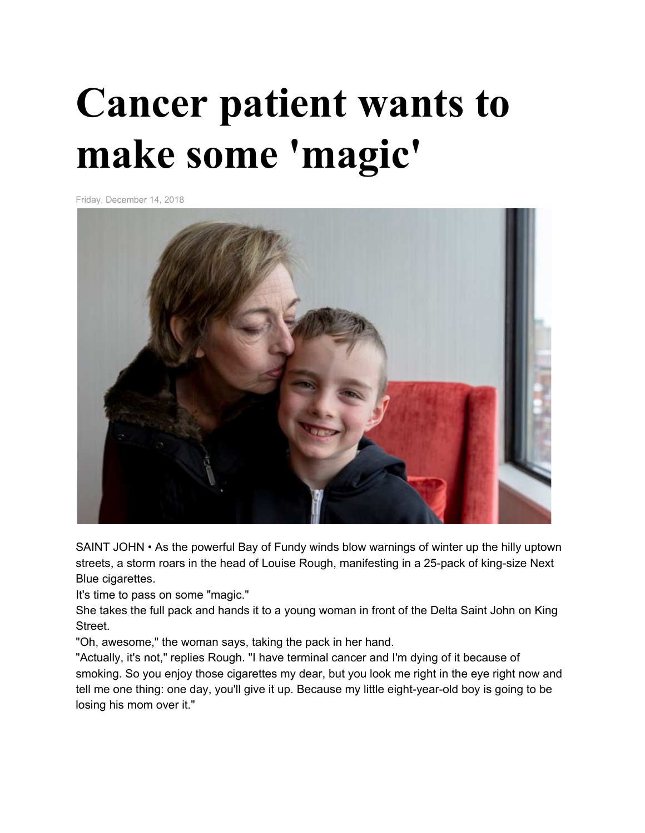## **Cancer patient wants to make some 'magic'**

Friday, December 14, 2018



SAINT JOHN • As the powerful Bay of Fundy winds blow warnings of winter up the hilly uptown streets, a storm roars in the head of Louise Rough, manifesting in a 25-pack of king-size Next Blue cigarettes.

It's time to pass on some "magic."

She takes the full pack and hands it to a young woman in front of the Delta Saint John on King Street.

"Oh, awesome," the woman says, taking the pack in her hand.

"Actually, it's not," replies Rough. "I have terminal cancer and I'm dying of it because of smoking. So you enjoy those cigarettes my dear, but you look me right in the eye right now and tell me one thing: one day, you'll give it up. Because my little eight-year-old boy is going to be losing his mom over it."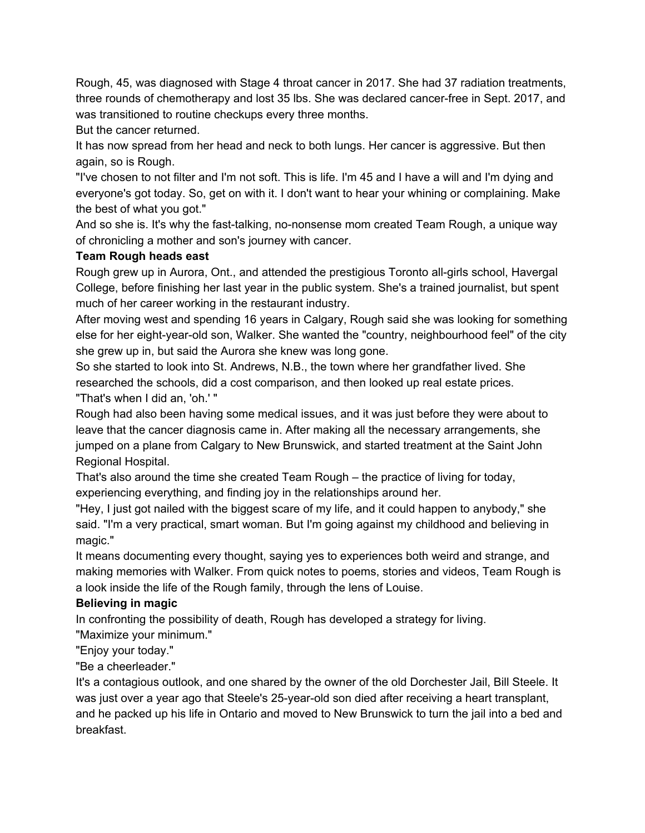Rough, 45, was diagnosed with Stage 4 throat cancer in 2017. She had 37 radiation treatments, three rounds of chemotherapy and lost 35 lbs. She was declared cancer-free in Sept. 2017, and was transitioned to routine checkups every three months.

But the cancer returned.

It has now spread from her head and neck to both lungs. Her cancer is aggressive. But then again, so is Rough.

"I've chosen to not filter and I'm not soft. This is life. I'm 45 and I have a will and I'm dying and everyone's got today. So, get on with it. I don't want to hear your whining or complaining. Make the best of what you got."

And so she is. It's why the fast-talking, no-nonsense mom created Team Rough, a unique way of chronicling a mother and son's journey with cancer.

## **Team Rough heads east**

Rough grew up in Aurora, Ont., and attended the prestigious Toronto all-girls school, Havergal College, before finishing her last year in the public system. She's a trained journalist, but spent much of her career working in the restaurant industry.

After moving west and spending 16 years in Calgary, Rough said she was looking for something else for her eight-year-old son, Walker. She wanted the "country, neighbourhood feel" of the city she grew up in, but said the Aurora she knew was long gone.

So she started to look into St. Andrews, N.B., the town where her grandfather lived. She researched the schools, did a cost comparison, and then looked up real estate prices. "That's when I did an, 'oh.' "

Rough had also been having some medical issues, and it was just before they were about to leave that the cancer diagnosis came in. After making all the necessary arrangements, she jumped on a plane from Calgary to New Brunswick, and started treatment at the Saint John Regional Hospital.

That's also around the time she created Team Rough – the practice of living for today, experiencing everything, and finding joy in the relationships around her.

"Hey, I just got nailed with the biggest scare of my life, and it could happen to anybody," she said. "I'm a very practical, smart woman. But I'm going against my childhood and believing in magic."

It means documenting every thought, saying yes to experiences both weird and strange, and making memories with Walker. From quick notes to poems, stories and videos, Team Rough is a look inside the life of the Rough family, through the lens of Louise.

## **Believing in magic**

In confronting the possibility of death, Rough has developed a strategy for living.

"Maximize your minimum."

"Enjoy your today."

"Be a cheerleader."

It's a contagious outlook, and one shared by the owner of the old Dorchester Jail, Bill Steele. It was just over a year ago that Steele's 25-year-old son died after receiving a heart transplant, and he packed up his life in Ontario and moved to New Brunswick to turn the jail into a bed and breakfast.